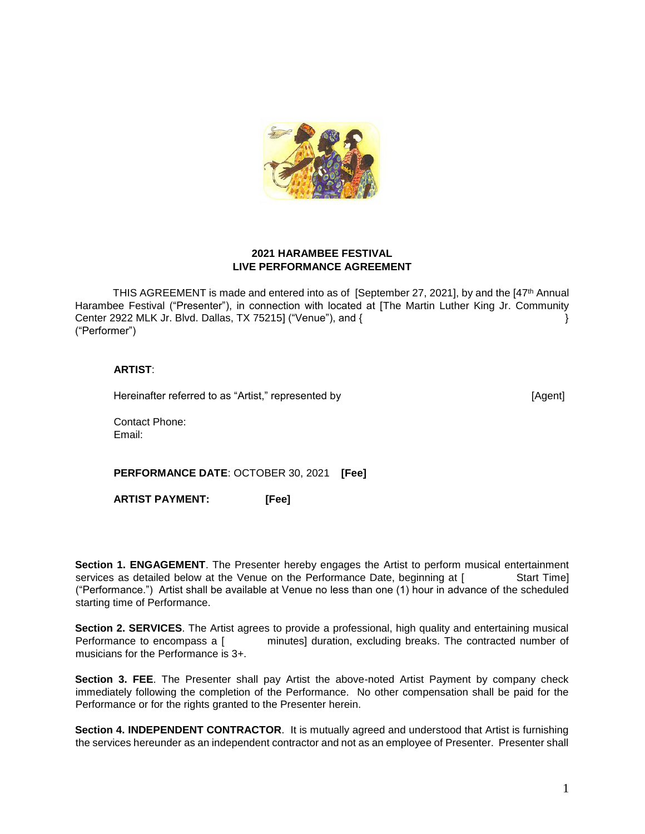

## **2021 HARAMBEE FESTIVAL LIVE PERFORMANCE AGREEMENT**

THIS AGREEMENT is made and entered into as of [September 27, 2021], by and the [47<sup>th</sup> Annual Harambee Festival ("Presenter"), in connection with located at [The Martin Luther King Jr. Community Center 2922 MLK Jr. Blvd. Dallas, TX 75215] ("Venue"), and { } ("Performer")

### **ARTIST**:

Hereinafter referred to as "Artist," represented by [Agent]

Contact Phone: Email:

**PERFORMANCE DATE**: OCTOBER 30, 2021 **[Fee]**

**ARTIST PAYMENT: [Fee]**

**Section 1. ENGAGEMENT**. The Presenter hereby engages the Artist to perform musical entertainment services as detailed below at the Venue on the Performance Date, beginning at [ Start Time] ("Performance.") Artist shall be available at Venue no less than one (1) hour in advance of the scheduled starting time of Performance.

**Section 2. SERVICES**. The Artist agrees to provide a professional, high quality and entertaining musical Performance to encompass a [ minutes] duration, excluding breaks. The contracted number of musicians for the Performance is 3+.

**Section 3. FEE**. The Presenter shall pay Artist the above-noted Artist Payment by company check immediately following the completion of the Performance. No other compensation shall be paid for the Performance or for the rights granted to the Presenter herein.

**Section 4. INDEPENDENT CONTRACTOR**. It is mutually agreed and understood that Artist is furnishing the services hereunder as an independent contractor and not as an employee of Presenter. Presenter shall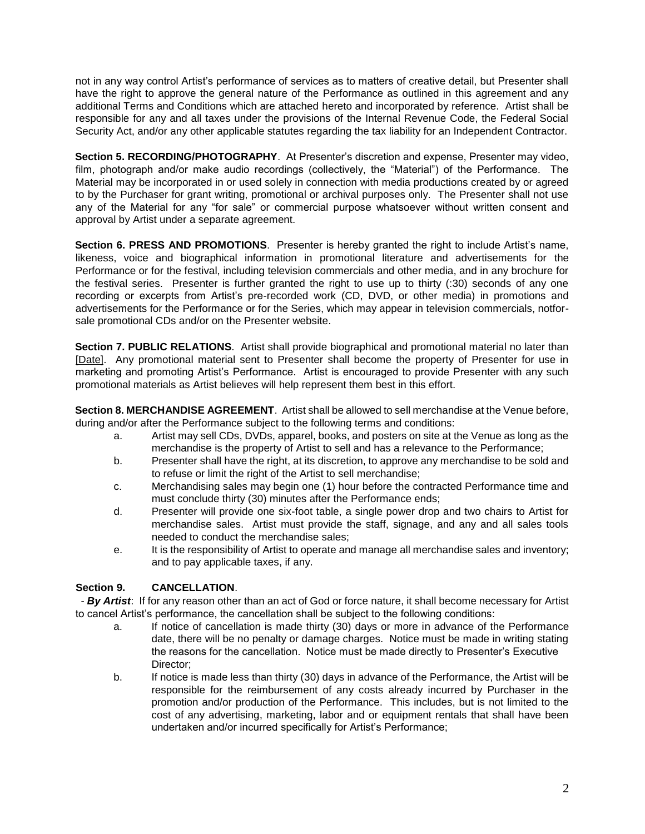not in any way control Artist's performance of services as to matters of creative detail, but Presenter shall have the right to approve the general nature of the Performance as outlined in this agreement and any additional Terms and Conditions which are attached hereto and incorporated by reference. Artist shall be responsible for any and all taxes under the provisions of the Internal Revenue Code, the Federal Social Security Act, and/or any other applicable statutes regarding the tax liability for an Independent Contractor.

**Section 5. RECORDING/PHOTOGRAPHY**. At Presenter's discretion and expense, Presenter may video, film, photograph and/or make audio recordings (collectively, the "Material") of the Performance. The Material may be incorporated in or used solely in connection with media productions created by or agreed to by the Purchaser for grant writing, promotional or archival purposes only. The Presenter shall not use any of the Material for any "for sale" or commercial purpose whatsoever without written consent and approval by Artist under a separate agreement.

**Section 6. PRESS AND PROMOTIONS**. Presenter is hereby granted the right to include Artist's name, likeness, voice and biographical information in promotional literature and advertisements for the Performance or for the festival, including television commercials and other media, and in any brochure for the festival series. Presenter is further granted the right to use up to thirty (:30) seconds of any one recording or excerpts from Artist's pre-recorded work (CD, DVD, or other media) in promotions and advertisements for the Performance or for the Series, which may appear in television commercials, notforsale promotional CDs and/or on the Presenter website.

**Section 7. PUBLIC RELATIONS**. Artist shall provide biographical and promotional material no later than [Date]. Any promotional material sent to Presenter shall become the property of Presenter for use in marketing and promoting Artist's Performance. Artist is encouraged to provide Presenter with any such promotional materials as Artist believes will help represent them best in this effort.

**Section 8. MERCHANDISE AGREEMENT**. Artist shall be allowed to sell merchandise at the Venue before, during and/or after the Performance subject to the following terms and conditions:

- a. Artist may sell CDs, DVDs, apparel, books, and posters on site at the Venue as long as the merchandise is the property of Artist to sell and has a relevance to the Performance;
- b. Presenter shall have the right, at its discretion, to approve any merchandise to be sold and to refuse or limit the right of the Artist to sell merchandise;
- c. Merchandising sales may begin one (1) hour before the contracted Performance time and must conclude thirty (30) minutes after the Performance ends;
- d. Presenter will provide one six-foot table, a single power drop and two chairs to Artist for merchandise sales. Artist must provide the staff, signage, and any and all sales tools needed to conduct the merchandise sales;
- e. It is the responsibility of Artist to operate and manage all merchandise sales and inventory; and to pay applicable taxes, if any.

### **Section 9. CANCELLATION**.

 - *By Artist*: If for any reason other than an act of God or force nature, it shall become necessary for Artist to cancel Artist's performance, the cancellation shall be subject to the following conditions:

- a. If notice of cancellation is made thirty (30) days or more in advance of the Performance date, there will be no penalty or damage charges. Notice must be made in writing stating the reasons for the cancellation. Notice must be made directly to Presenter's Executive Director;
- b. If notice is made less than thirty (30) days in advance of the Performance, the Artist will be responsible for the reimbursement of any costs already incurred by Purchaser in the promotion and/or production of the Performance. This includes, but is not limited to the cost of any advertising, marketing, labor and or equipment rentals that shall have been undertaken and/or incurred specifically for Artist's Performance;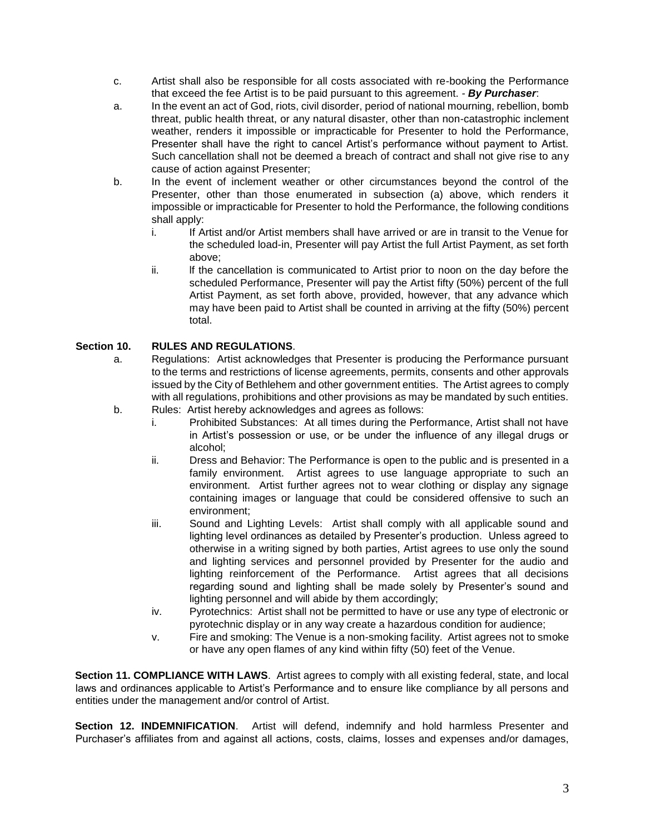- c. Artist shall also be responsible for all costs associated with re-booking the Performance that exceed the fee Artist is to be paid pursuant to this agreement. *- By Purchaser*:
- a. In the event an act of God, riots, civil disorder, period of national mourning, rebellion, bomb threat, public health threat, or any natural disaster, other than non-catastrophic inclement weather, renders it impossible or impracticable for Presenter to hold the Performance, Presenter shall have the right to cancel Artist's performance without payment to Artist. Such cancellation shall not be deemed a breach of contract and shall not give rise to any cause of action against Presenter;
- b. In the event of inclement weather or other circumstances beyond the control of the Presenter, other than those enumerated in subsection (a) above, which renders it impossible or impracticable for Presenter to hold the Performance, the following conditions shall apply:
	- i. If Artist and/or Artist members shall have arrived or are in transit to the Venue for the scheduled load-in, Presenter will pay Artist the full Artist Payment, as set forth above;
	- ii. If the cancellation is communicated to Artist prior to noon on the day before the scheduled Performance, Presenter will pay the Artist fifty (50%) percent of the full Artist Payment, as set forth above, provided, however, that any advance which may have been paid to Artist shall be counted in arriving at the fifty (50%) percent total.

## **Section 10. RULES AND REGULATIONS**.

- a. Regulations: Artist acknowledges that Presenter is producing the Performance pursuant to the terms and restrictions of license agreements, permits, consents and other approvals issued by the City of Bethlehem and other government entities. The Artist agrees to comply with all regulations, prohibitions and other provisions as may be mandated by such entities.
- b. Rules: Artist hereby acknowledges and agrees as follows:
	- i. Prohibited Substances: At all times during the Performance, Artist shall not have in Artist's possession or use, or be under the influence of any illegal drugs or alcohol;
	- ii. Dress and Behavior: The Performance is open to the public and is presented in a family environment. Artist agrees to use language appropriate to such an environment. Artist further agrees not to wear clothing or display any signage containing images or language that could be considered offensive to such an environment;
	- iii. Sound and Lighting Levels: Artist shall comply with all applicable sound and lighting level ordinances as detailed by Presenter's production. Unless agreed to otherwise in a writing signed by both parties, Artist agrees to use only the sound and lighting services and personnel provided by Presenter for the audio and lighting reinforcement of the Performance. Artist agrees that all decisions regarding sound and lighting shall be made solely by Presenter's sound and lighting personnel and will abide by them accordingly;
	- iv. Pyrotechnics: Artist shall not be permitted to have or use any type of electronic or pyrotechnic display or in any way create a hazardous condition for audience;
	- v. Fire and smoking: The Venue is a non-smoking facility. Artist agrees not to smoke or have any open flames of any kind within fifty (50) feet of the Venue.

**Section 11. COMPLIANCE WITH LAWS**. Artist agrees to comply with all existing federal, state, and local laws and ordinances applicable to Artist's Performance and to ensure like compliance by all persons and entities under the management and/or control of Artist.

**Section 12. INDEMNIFICATION**. Artist will defend, indemnify and hold harmless Presenter and Purchaser's affiliates from and against all actions, costs, claims, losses and expenses and/or damages,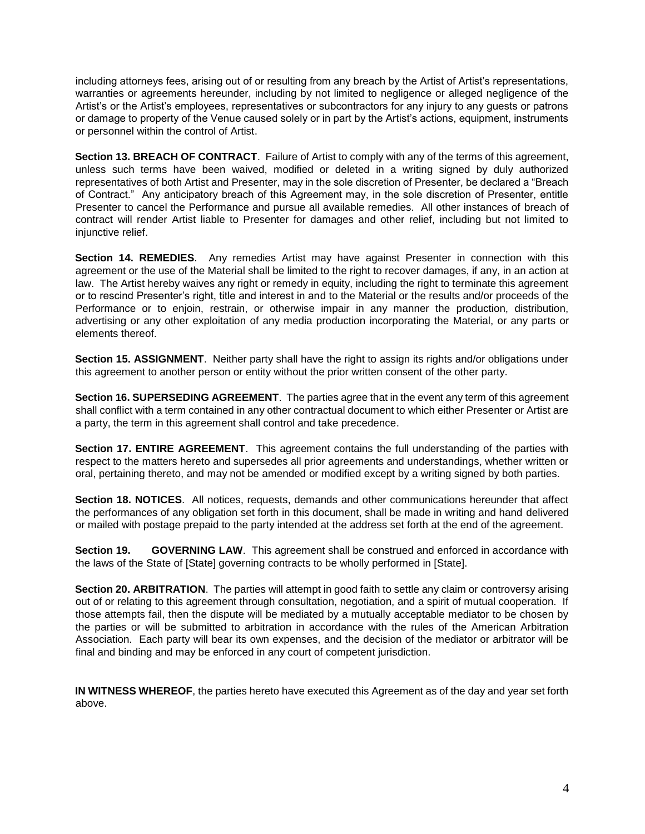including attorneys fees, arising out of or resulting from any breach by the Artist of Artist's representations, warranties or agreements hereunder, including by not limited to negligence or alleged negligence of the Artist's or the Artist's employees, representatives or subcontractors for any injury to any guests or patrons or damage to property of the Venue caused solely or in part by the Artist's actions, equipment, instruments or personnel within the control of Artist.

**Section 13. BREACH OF CONTRACT**. Failure of Artist to comply with any of the terms of this agreement, unless such terms have been waived, modified or deleted in a writing signed by duly authorized representatives of both Artist and Presenter, may in the sole discretion of Presenter, be declared a "Breach of Contract." Any anticipatory breach of this Agreement may, in the sole discretion of Presenter, entitle Presenter to cancel the Performance and pursue all available remedies. All other instances of breach of contract will render Artist liable to Presenter for damages and other relief, including but not limited to injunctive relief.

**Section 14. REMEDIES**. Any remedies Artist may have against Presenter in connection with this agreement or the use of the Material shall be limited to the right to recover damages, if any, in an action at law. The Artist hereby waives any right or remedy in equity, including the right to terminate this agreement or to rescind Presenter's right, title and interest in and to the Material or the results and/or proceeds of the Performance or to enjoin, restrain, or otherwise impair in any manner the production, distribution, advertising or any other exploitation of any media production incorporating the Material, or any parts or elements thereof.

**Section 15. ASSIGNMENT**. Neither party shall have the right to assign its rights and/or obligations under this agreement to another person or entity without the prior written consent of the other party.

**Section 16. SUPERSEDING AGREEMENT**. The parties agree that in the event any term of this agreement shall conflict with a term contained in any other contractual document to which either Presenter or Artist are a party, the term in this agreement shall control and take precedence.

**Section 17. ENTIRE AGREEMENT**. This agreement contains the full understanding of the parties with respect to the matters hereto and supersedes all prior agreements and understandings, whether written or oral, pertaining thereto, and may not be amended or modified except by a writing signed by both parties.

**Section 18. NOTICES**. All notices, requests, demands and other communications hereunder that affect the performances of any obligation set forth in this document, shall be made in writing and hand delivered or mailed with postage prepaid to the party intended at the address set forth at the end of the agreement.

**Section 19. GOVERNING LAW**. This agreement shall be construed and enforced in accordance with the laws of the State of [State] governing contracts to be wholly performed in [State].

**Section 20. ARBITRATION**. The parties will attempt in good faith to settle any claim or controversy arising out of or relating to this agreement through consultation, negotiation, and a spirit of mutual cooperation. If those attempts fail, then the dispute will be mediated by a mutually acceptable mediator to be chosen by the parties or will be submitted to arbitration in accordance with the rules of the American Arbitration Association. Each party will bear its own expenses, and the decision of the mediator or arbitrator will be final and binding and may be enforced in any court of competent jurisdiction.

**IN WITNESS WHEREOF**, the parties hereto have executed this Agreement as of the day and year set forth above.